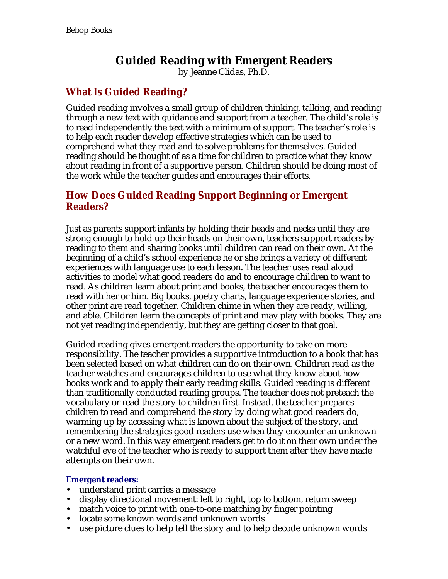# **Guided Reading with Emergent Readers**

by Jeanne Clidas, Ph.D.

## **What Is Guided Reading?**

Guided reading involves a small group of children thinking, talking, and reading through a new text with guidance and support from a teacher. The child's role is to read independently the text with a minimum of support. The teacher's role is to help each reader develop effective strategies which can be used to comprehend what they read and to solve problems for themselves. Guided reading should be thought of as a time for children to practice what they know about reading in front of a supportive person. Children should be doing most of the work while the teacher guides and encourages their efforts.

## **How Does Guided Reading Support Beginning or Emergent Readers?**

Just as parents support infants by holding their heads and necks until they are strong enough to hold up their heads on their own, teachers support readers by reading to them and sharing books until children can read on their own. At the beginning of a child's school experience he or she brings a variety of different experiences with language use to each lesson. The teacher uses read aloud activities to model what good readers do and to encourage children to want to read. As children learn about print and books, the teacher encourages them to read with her or him. Big books, poetry charts, language experience stories, and other print are read together. Children chime in when they are ready, willing, and able. Children learn the concepts of print and may play with books. They are not yet reading independently, but they are getting closer to that goal.

Guided reading gives emergent readers the opportunity to take on more responsibility. The teacher provides a supportive introduction to a book that has been selected based on what children can do on their own. Children read as the teacher watches and encourages children to use what they know about how books work and to apply their early reading skills. Guided reading is different than traditionally conducted reading groups. The teacher does not preteach the vocabulary or read the story to children first. Instead, the teacher prepares children to read and comprehend the story by doing what good readers do, warming up by accessing what is known about the subject of the story, and remembering the strategies good readers use when they encounter an unknown or a new word. In this way emergent readers get to do it on their own under the watchful eye of the teacher who is ready to support them after they have made attempts on their own.

### **Emergent readers:**

- understand print carries a message
- display directional movement: left to right, top to bottom, return sweep
- match voice to print with one-to-one matching by finger pointing
- locate some known words and unknown words
- use picture clues to help tell the story and to help decode unknown words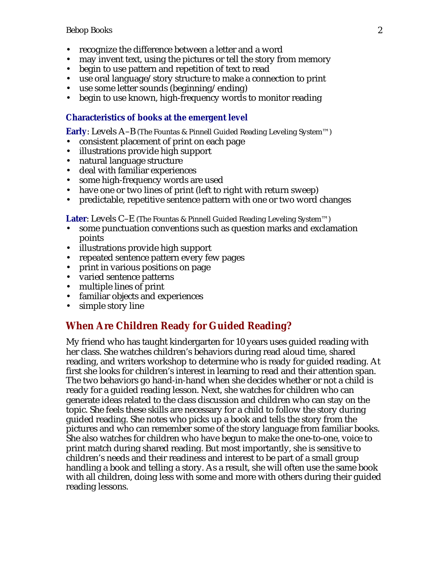- recognize the difference between a letter and a word
- may invent text, using the pictures or tell the story from memory
- begin to use pattern and repetition of text to read
- use oral language/story structure to make a connection to print
- use some letter sounds (beginning/ending)
- begin to use known, high-frequency words to monitor reading

#### **Characteristics of books at the emergent level**

**Early**: Levels A–B (The Fountas & Pinnell Guided Reading Leveling System™)

- consistent placement of print on each page
- illustrations provide high support
- natural language structure
- deal with familiar experiences
- some high-frequency words are used
- have one or two lines of print (left to right with return sweep)
- predictable, repetitive sentence pattern with one or two word changes

**Later**: Levels C–E (The Fountas & Pinnell Guided Reading Leveling System™)

- some punctuation conventions such as question marks and exclamation points
- illustrations provide high support
- repeated sentence pattern every few pages
- print in various positions on page
- varied sentence patterns
- multiple lines of print
- familiar objects and experiences
- simple story line

### **When Are Children Ready for Guided Reading?**

My friend who has taught kindergarten for 10 years uses guided reading with her class. She watches children's behaviors during read aloud time, shared reading, and writers workshop to determine who is ready for guided reading. At first she looks for children's interest in learning to read and their attention span. The two behaviors go hand-in-hand when she decides whether or not a child is ready for a guided reading lesson. Next, she watches for children who can generate ideas related to the class discussion and children who can stay on the topic. She feels these skills are necessary for a child to follow the story during guided reading. She notes who picks up a book and tells the story from the pictures and who can remember some of the story language from familiar books. She also watches for children who have begun to make the one-to-one, voice to print match during shared reading. But most importantly, she is sensitive to children's needs and their readiness and interest to be part of a small group handling a book and telling a story. As a result, she will often use the same book with all children, doing less with some and more with others during their guided reading lessons.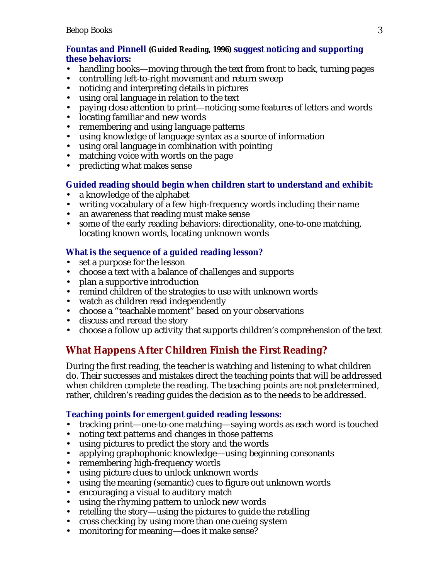### **Fountas and Pinnell (***Guided Reading,* **1996) suggest noticing and supporting these behaviors:**

- handling books—moving through the text from front to back, turning pages
- controlling left-to-right movement and return sweep
- noticing and interpreting details in pictures
- using oral language in relation to the text
- paying close attention to print—noticing some features of letters and words
- locating familiar and new words
- remembering and using language patterns
- using knowledge of language syntax as a source of information
- using oral language in combination with pointing
- matching voice with words on the page
- predicting what makes sense

### **Guided reading should begin when children start to understand and exhibit:**

- a knowledge of the alphabet
- writing vocabulary of a few high-frequency words including their name
- an awareness that reading must make sense
- some of the early reading behaviors: directionality, one-to-one matching, locating known words, locating unknown words

### **What is the sequence of a guided reading lesson?**

- set a purpose for the lesson
- choose a text with a balance of challenges and supports
- plan a supportive introduction
- remind children of the strategies to use with unknown words
- watch as children read independently
- choose a "teachable moment" based on your observations
- discuss and reread the story
- choose a follow up activity that supports children's comprehension of the text

# **What Happens After Children Finish the First Reading?**

During the first reading, the teacher is watching and listening to what children do. Their successes and mistakes direct the teaching points that will be addressed when children complete the reading. The teaching points are not predetermined, rather, children's reading guides the decision as to the needs to be addressed.

### **Teaching points for emergent guided reading lessons:**

- tracking print—one-to-one matching—saying words as each word is touched
- noting text patterns and changes in those patterns
- using pictures to predict the story and the words
- applying graphophonic knowledge—using beginning consonants
- remembering high-frequency words
- using picture clues to unlock unknown words
- using the meaning (semantic) cues to figure out unknown words
- encouraging a visual to auditory match
- using the rhyming pattern to unlock new words
- retelling the story—using the pictures to guide the retelling
- cross checking by using more than one cueing system
- monitoring for meaning—does it make sense?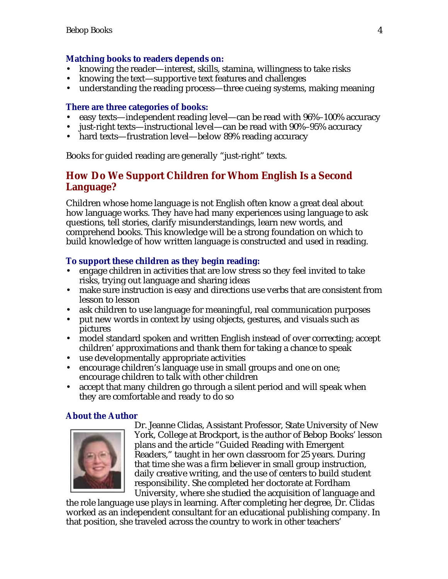### **Matching books to readers depends on:**

- knowing the reader—interest, skills, stamina, willingness to take risks
- knowing the text—supportive text features and challenges
- understanding the reading process—three cueing systems, making meaning

### **There are three categories of books:**

- easy texts—independent reading level—can be read with 96%–100% accuracy
- just-right texts—instructional level—can be read with 90%–95% accuracy
- hard texts—frustration level—below 89% reading accuracy

Books for guided reading are generally "just-right" texts.

## **How Do We Support Children for Whom English Is a Second Language?**

Children whose home language is not English often know a great deal about how language works. They have had many experiences using language to ask questions, tell stories, clarify misunderstandings, learn new words, and comprehend books. This knowledge will be a strong foundation on which to build knowledge of how written language is constructed and used in reading.

### **To support these children as they begin reading:**

- engage children in activities that are low stress so they feel invited to take risks, trying out language and sharing ideas
- make sure instruction is easy and directions use verbs that are consistent from lesson to lesson
- ask children to use language for meaningful, real communication purposes
- put new words in context by using objects, gestures, and visuals such as pictures
- model standard spoken and written English instead of over correcting; accept children' approximations and thank them for taking a chance to speak
- use developmentally appropriate activities
- encourage children's language use in small groups and one on one; encourage children to talk with other children
- accept that many children go through a silent period and will speak when they are comfortable and ready to do so

### **About the Author**



Dr. Jeanne Clidas, Assistant Professor, State University of New York, College at Brockport, is the author of Bebop Books' lesson plans and the article "Guided Reading with Emergent Readers," taught in her own classroom for 25 years. During that time she was a firm believer in small group instruction, daily creative writing, and the use of centers to build student responsibility. She completed her doctorate at Fordham University, where she studied the acquisition of language and

the role language use plays in learning. After completing her degree, Dr. Clidas worked as an independent consultant for an educational publishing company. In that position, she traveled across the country to work in other teachers'